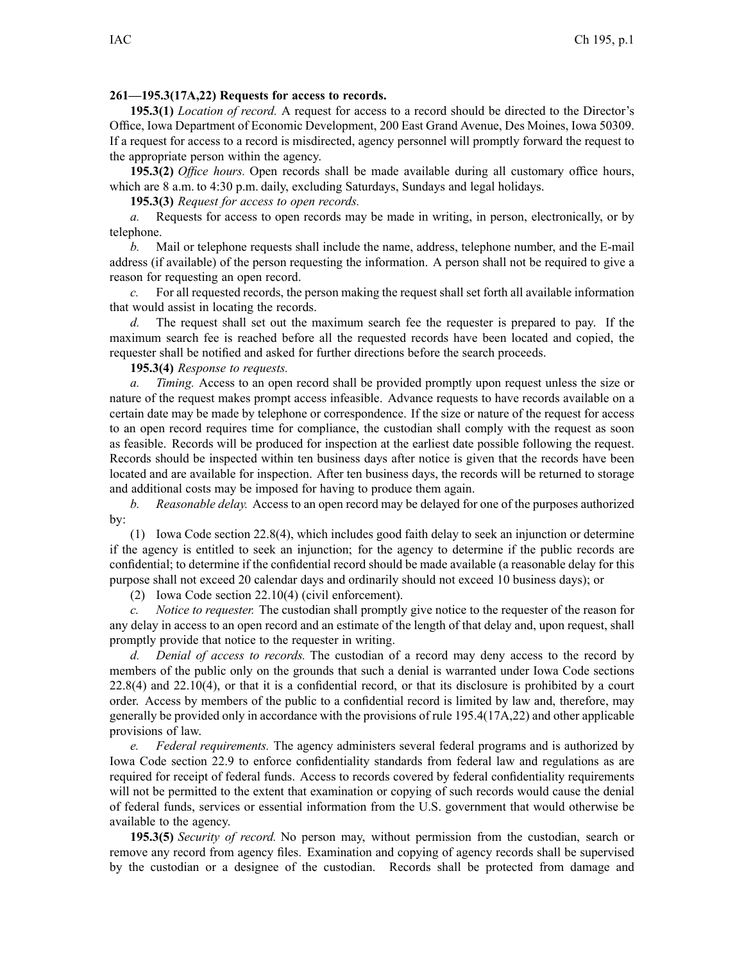## **261—195.3(17A,22) Requests for access to records.**

**195.3(1)** *Location of record.* A reques<sup>t</sup> for access to <sup>a</sup> record should be directed to the Director's Office, Iowa Department of Economic Development, 200 East Grand Avenue, Des Moines, Iowa 50309. If <sup>a</sup> reques<sup>t</sup> for access to <sup>a</sup> record is misdirected, agency personnel will promptly forward the reques<sup>t</sup> to the appropriate person within the agency.

**195.3(2)** *Office hours.* Open records shall be made available during all customary office hours, which are 8 a.m. to 4:30 p.m. daily, excluding Saturdays, Sundays and legal holidays.

**195.3(3)** *Request for access to open records.*

*a.* Requests for access to open records may be made in writing, in person, electronically, or by telephone.

*b.* Mail or telephone requests shall include the name, address, telephone number, and the E-mail address (if available) of the person requesting the information. A person shall not be required to give <sup>a</sup> reason for requesting an open record.

*c.* For all requested records, the person making the reques<sup>t</sup> shall set forth all available information that would assist in locating the records.

*d.* The reques<sup>t</sup> shall set out the maximum search fee the requester is prepared to pay. If the maximum search fee is reached before all the requested records have been located and copied, the requester shall be notified and asked for further directions before the search proceeds.

**195.3(4)** *Response to requests.*

*a. Timing.* Access to an open record shall be provided promptly upon reques<sup>t</sup> unless the size or nature of the reques<sup>t</sup> makes promp<sup>t</sup> access infeasible. Advance requests to have records available on <sup>a</sup> certain date may be made by telephone or correspondence. If the size or nature of the reques<sup>t</sup> for access to an open record requires time for compliance, the custodian shall comply with the reques<sup>t</sup> as soon as feasible. Records will be produced for inspection at the earliest date possible following the request. Records should be inspected within ten business days after notice is given that the records have been located and are available for inspection. After ten business days, the records will be returned to storage and additional costs may be imposed for having to produce them again.

*b. Reasonable delay.* Access to an open record may be delayed for one of the purposes authorized by:

(1) Iowa Code section 22.8(4), which includes good faith delay to seek an injunction or determine if the agency is entitled to seek an injunction; for the agency to determine if the public records are confidential; to determine if the confidential record should be made available (a reasonable delay for this purpose shall not exceed 20 calendar days and ordinarily should not exceed 10 business days); or

(2) Iowa Code section 22.10(4) (civil enforcement).

*c. Notice to requester.* The custodian shall promptly give notice to the requester of the reason for any delay in access to an open record and an estimate of the length of that delay and, upon request, shall promptly provide that notice to the requester in writing.

*d. Denial of access to records.* The custodian of <sup>a</sup> record may deny access to the record by members of the public only on the grounds that such <sup>a</sup> denial is warranted under Iowa Code sections 22.8(4) and 22.10(4), or that it is <sup>a</sup> confidential record, or that its disclosure is prohibited by <sup>a</sup> court order. Access by members of the public to <sup>a</sup> confidential record is limited by law and, therefore, may generally be provided only in accordance with the provisions of rule 195.4(17A,22) and other applicable provisions of law.

*e. Federal requirements.* The agency administers several federal programs and is authorized by Iowa Code section 22.9 to enforce confidentiality standards from federal law and regulations as are required for receipt of federal funds. Access to records covered by federal confidentiality requirements will not be permitted to the extent that examination or copying of such records would cause the denial of federal funds, services or essential information from the U.S. governmen<sup>t</sup> that would otherwise be available to the agency.

**195.3(5)** *Security of record.* No person may, without permission from the custodian, search or remove any record from agency files. Examination and copying of agency records shall be supervised by the custodian or <sup>a</sup> designee of the custodian. Records shall be protected from damage and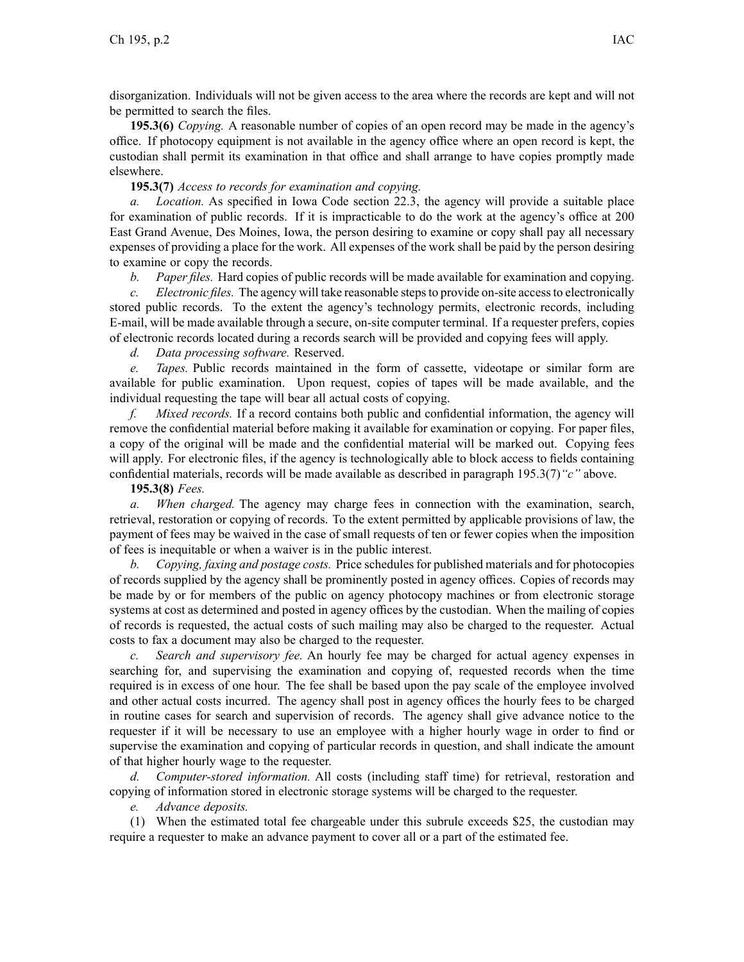disorganization. Individuals will not be given access to the area where the records are kept and will not be permitted to search the files.

**195.3(6)** *Copying.* A reasonable number of copies of an open record may be made in the agency's office. If photocopy equipment is not available in the agency office where an open record is kept, the custodian shall permit its examination in that office and shall arrange to have copies promptly made elsewhere.

**195.3(7)** *Access to records for examination and copying.*

*a. Location.* As specified in Iowa Code section 22.3, the agency will provide <sup>a</sup> suitable place for examination of public records. If it is impracticable to do the work at the agency's office at 200 East Grand Avenue, Des Moines, Iowa, the person desiring to examine or copy shall pay all necessary expenses of providing <sup>a</sup> place for the work. All expenses of the work shall be paid by the person desiring to examine or copy the records.

*b. Paper files.* Hard copies of public records will be made available for examination and copying.

*c. Electronic files.* The agency will take reasonable stepsto provide on-site accessto electronically stored public records. To the extent the agency's technology permits, electronic records, including E-mail, will be made available through <sup>a</sup> secure, on-site computer terminal. If <sup>a</sup> requester prefers, copies of electronic records located during <sup>a</sup> records search will be provided and copying fees will apply.

*d. Data processing software.* Reserved.

*e. Tapes.* Public records maintained in the form of cassette, videotape or similar form are available for public examination. Upon request, copies of tapes will be made available, and the individual requesting the tape will bear all actual costs of copying.

*f. Mixed records.* If <sup>a</sup> record contains both public and confidential information, the agency will remove the confidential material before making it available for examination or copying. For paper files, <sup>a</sup> copy of the original will be made and the confidential material will be marked out. Copying fees will apply. For electronic files, if the agency is technologically able to block access to fields containing confidential materials, records will be made available as described in paragraph 195.3(7)*"c"* above.

**195.3(8)** *Fees.*

*a. When charged.* The agency may charge fees in connection with the examination, search, retrieval, restoration or copying of records. To the extent permitted by applicable provisions of law, the paymen<sup>t</sup> of fees may be waived in the case of small requests of ten or fewer copies when the imposition of fees is inequitable or when <sup>a</sup> waiver is in the public interest.

*b. Copying, faxing and postage costs.* Price schedules for published materials and for photocopies of records supplied by the agency shall be prominently posted in agency offices. Copies of records may be made by or for members of the public on agency photocopy machines or from electronic storage systems at cost as determined and posted in agency offices by the custodian. When the mailing of copies of records is requested, the actual costs of such mailing may also be charged to the requester. Actual costs to fax <sup>a</sup> document may also be charged to the requester.

*c. Search and supervisory fee.* An hourly fee may be charged for actual agency expenses in searching for, and supervising the examination and copying of, requested records when the time required is in excess of one hour. The fee shall be based upon the pay scale of the employee involved and other actual costs incurred. The agency shall pos<sup>t</sup> in agency offices the hourly fees to be charged in routine cases for search and supervision of records. The agency shall give advance notice to the requester if it will be necessary to use an employee with <sup>a</sup> higher hourly wage in order to find or supervise the examination and copying of particular records in question, and shall indicate the amount of that higher hourly wage to the requester.

*d. Computer-stored information.* All costs (including staff time) for retrieval, restoration and copying of information stored in electronic storage systems will be charged to the requester.

*e. Advance deposits.*

(1) When the estimated total fee chargeable under this subrule exceeds \$25, the custodian may require <sup>a</sup> requester to make an advance paymen<sup>t</sup> to cover all or <sup>a</sup> par<sup>t</sup> of the estimated fee.